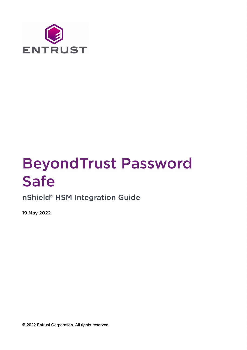

# BeyondTrust Password Safe

nShield® HSM Integration Guide

19 May 2022

@ 2022 Entrust Corporation. All rights reserved.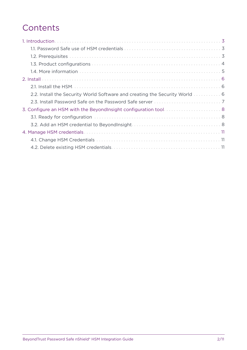## **Contents**

| 2.2. Install the Security World Software and creating the Security World  6 |
|-----------------------------------------------------------------------------|
|                                                                             |
| 3. Configure an HSM with the BeyondInsight configuration tool 8             |
|                                                                             |
|                                                                             |
|                                                                             |
|                                                                             |
|                                                                             |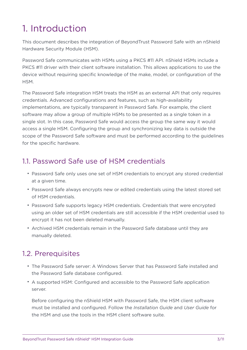## <span id="page-2-0"></span>1. Introduction

This document describes the integration of BeyondTrust Password Safe with an nShield Hardware Security Module (HSM).

Password Safe communicates with HSMs using a PKCS #11 API. nShield HSMs include a PKCS #11 driver with their client software installation. This allows applications to use the device without requiring specific knowledge of the make, model, or configuration of the HSM.

The Password Safe integration HSM treats the HSM as an external API that only requires credentials. Advanced configurations and features, such as high-availability implementations, are typically transparent in Password Safe. For example, the client software may allow a group of multiple HSMs to be presented as a single token in a single slot. In this case, Password Safe would access the group the same way it would access a single HSM. Configuring the group and synchronizing key data is outside the scope of the Password Safe software and must be performed according to the guidelines for the specific hardware.

## <span id="page-2-1"></span>1.1. Password Safe use of HSM credentials

- Password Safe only uses one set of HSM credentials to encrypt any stored credential at a given time.
- Password Safe always encrypts new or edited credentials using the latest stored set of HSM credentials.
- Password Safe supports legacy HSM credentials. Credentials that were encrypted using an older set of HSM credentials are still accessible if the HSM credential used to encrypt it has not been deleted manually.
- Archived HSM credentials remain in the Password Safe database until they are manually deleted.

## <span id="page-2-2"></span>1.2. Prerequisites

- The Password Safe server: A Windows Server that has Password Safe installed and the Password Safe database configured.
- A supported HSM: Configured and accessible to the Password Safe application server.

Before configuring the nShield HSM with Password Safe, the HSM client software must be installed and configured. Follow the *Installation Guide* and *User Guide* for the HSM and use the tools in the HSM client software suite.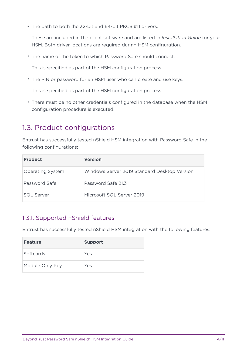• The path to both the 32-bit and 64-bit PKCS #11 drivers.

These are included in the client software and are listed in *Installation Guide* for your HSM. Both driver locations are required during HSM configuration.

• The name of the token to which Password Safe should connect.

This is specified as part of the HSM configuration process.

• The PIN or password for an HSM user who can create and use keys.

This is specified as part of the HSM configuration process.

• There must be no other credentials configured in the database when the HSM configuration procedure is executed.

## <span id="page-3-0"></span>1.3. Product configurations

Entrust has successfully tested nShield HSM integration with Password Safe in the following configurations:

| <b>Product</b>          | <b>Version</b>                               |
|-------------------------|----------------------------------------------|
| <b>Operating System</b> | Windows Server 2019 Standard Desktop Version |
| Password Safe           | Password Safe 21.3                           |
| <b>SQL Server</b>       | Microsoft SQL Server 2019                    |

### 1.3.1. Supported nShield features

Entrust has successfully tested nShield HSM integration with the following features:

| <b>Feature</b>  | <b>Support</b> |
|-----------------|----------------|
| Softcards       | Yes            |
| Module Only Key | Yes            |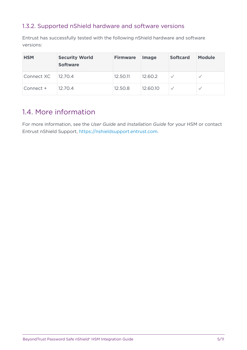### 1.3.2. Supported nShield hardware and software versions

Entrust has successfully tested with the following nShield hardware and software versions:

| <b>HSM</b> | <b>Security World</b><br><b>Software</b> | <b>Firmware</b> | <b>Image</b> | <b>Softcard</b> | <b>Module</b> |
|------------|------------------------------------------|-----------------|--------------|-----------------|---------------|
| Connect XC | 12.70.4                                  | 12.50.11        | 12.60.2      |                 |               |
| Connect +  | 12.70.4                                  | 12.50.8         | 12.60.10     |                 |               |

## <span id="page-4-0"></span>1.4. More information

For more information, see the *User Guide* and *Installation Guide* for your HSM or contact Entrust nShield Support, [https://nshieldsupport.entrust.com.](https://nshieldsupport.entrust.com)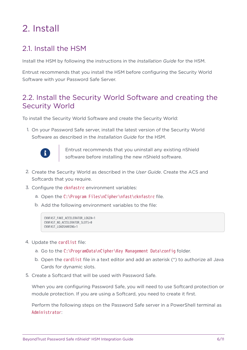## <span id="page-5-0"></span>2. Install

## <span id="page-5-1"></span>21. Install the HSM

Install the HSM by following the instructions in the *Installation Guide* for the HSM.

Entrust recommends that you install the HSM before configuring the Security World Software with your Password Safe Server.

### <span id="page-5-2"></span>2.2. Install the Security World Software and creating the Security World

To install the Security World Software and create the Security World:

1. On your Password Safe server, install the latest version of the Security World Software as described in the *Installation Guide* for the HSM.



Entrust recommends that you uninstall any existing nShield software before installing the new nShield software.

- 2. Create the Security World as described in the *User Guide*. Create the ACS and Softcards that you require.
- 3. Configure the cknfastrc environment variables:
	- a. Open the C:\Program Files\nCipher\nfast\cknfastrc file.
	- b. Add the following environment variables to the file:

```
CKNFAST_FAKE_ACCELERATOR_LOGIN=1
CKNFAST_NO_ACCELERATOR_SLOTS=0
CKNFAST_LOADSHARING=1
```
- 4. Update the cardlist file:
	- a. Go to the C:\ProgramData\nCipher\Key Management Data\config folder.
	- b. Open the cardlist file in a text editor and add an asterisk (\*) to authorize all Java Cards for dynamic slots.
- 5. Create a Softcard that will be used with Password Safe.

When you are configuring Password Safe, you will need to use Softcard protection or module protection. If you are using a Softcard, you need to create it first.

Perform the following steps on the Password Safe server in a PowerShell terminal as Administrator: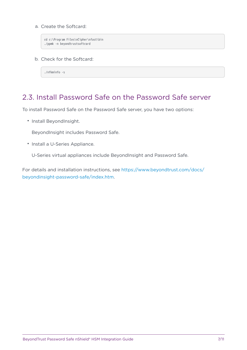a. Create the Softcard:

```
cd c:\Program Files\nCipher\nfast\bin
./ppmk -n beyondtrustsoftcard
```
b. Check for the Softcard:

./nfkminfo -s

### <span id="page-6-0"></span>2.3. Install Password Safe on the Password Safe server

To install Password Safe on the Password Safe server, you have two options:

• Install BeyondInsight.

BeyondInsight includes Password Safe.

• Install a U-Series Appliance.

U-Series virtual appliances include BeyondInsight and Password Safe.

For details and installation instructions, see [https://www.beyondtrust.com/docs/](https://www.beyondtrust.com/docs/beyondinsight-password-safe/index.htm) [beyondinsight-password-safe/index.htm](https://www.beyondtrust.com/docs/beyondinsight-password-safe/index.htm).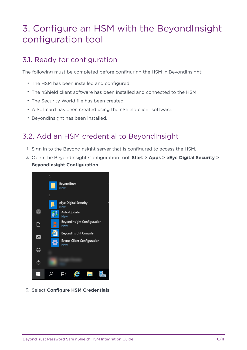## <span id="page-7-0"></span>3. Configure an HSM with the BeyondInsight configuration tool

## <span id="page-7-1"></span>3.1. Ready for configuration

The following must be completed before configuring the HSM in BeyondInsight:

- The HSM has been installed and configured.
- The nShield client software has been installed and connected to the HSM.
- The Security World file has been created.
- A Softcard has been created using the nShield client software.
- BeyondInsight has been installed.

## <span id="page-7-2"></span>3.2. Add an HSM credential to BeyondInsight

- 1. Sign in to the BeyondInsight server that is configured to access the HSM.
- 2. Open the BeyondInsight Configuration tool: **Start > Apps > eEye Digital Security > BeyondInsight Configuration**.

|              | B                                       |
|--------------|-----------------------------------------|
|              | BeyondTrust<br>New                      |
|              | E                                       |
|              | eEye Digital Security<br>New            |
| $\mathsf{R}$ | Auto-Update<br>New                      |
| ੀ            | BeyondInsight Configuration<br>白<br>New |
| Ŋ.           | BeyondInsight Console                   |
|              | Events Client Configuration<br>New      |
| ි            |                                         |
| ტ            |                                         |
|              | ΞH                                      |

3. Select **Configure HSM Credentials**.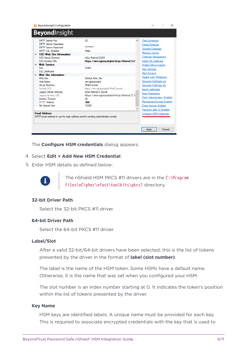| <b>SMTP Server Password</b><br>SMTP SSL Enabled<br>$\times$ SSO Web Site Information<br><b>SSO Virtual Directory</b><br>SSO Access URL<br>$\times$ Web Service<br>Port<br>SSL Certificate<br>$\times$ Web Site Information<br>Web Site<br>Host Name<br><b>Virtual Directory</b><br>Access URL<br><b>Legacy Virtual Directory</b><br><b>Legacy Access URL</b><br>Session Timeout | False<br>eEve.RetinaCSSSO<br>https://win-ralubavtabd/eEve.RetinaCSS!<br>21691<br>Default Web Site<br>win-ralubavtabd<br>WebConsole<br>https://win-ralubavtabd/WebConsole<br>eEve.RetinaCS.Server<br>https://win-rglubgvtgbd/eEye.RetinaCS.S<br>20 | Upgrade Database<br>Manage License<br>Certificate Management<br>Install SSL Certificate<br>Enable Debug Logging<br><b>Stop Services</b><br><b>Start Services</b><br>Disable Light Writebacks<br>Generate Certificate msi<br>Generate Certificate Zip<br><b>Import Certificates</b><br><b>Grant Permissions</b><br>Client Authentication: Enabled |
|---------------------------------------------------------------------------------------------------------------------------------------------------------------------------------------------------------------------------------------------------------------------------------------------------------------------------------------------------------------------------------|---------------------------------------------------------------------------------------------------------------------------------------------------------------------------------------------------------------------------------------------------|--------------------------------------------------------------------------------------------------------------------------------------------------------------------------------------------------------------------------------------------------------------------------------------------------------------------------------------------------|
| <b>HTTP Timeout</b><br><b>File Upload Size</b>                                                                                                                                                                                                                                                                                                                                  | 360<br>10240                                                                                                                                                                                                                                      | ManagementConsole:Enabled<br>Event Service: Enabled                                                                                                                                                                                                                                                                                              |

The **Configure HSM credentials** dialog appears.

#### 4. Select **Edit > Add New HSM Credential**.

5. Enter HSM details as defined below:



The nShield HSM PKCS #11 drivers are in the C:\Program Files\nCipher\nfast\toolkits\pkcs1 directory.

#### **32-bit Driver Path**

Select the 32-bit PKCS #11 driver.

#### **64-bit Driver Path**

Select the 64-bit PKCS #11 driver.

#### **Label/Slot**

After a valid 32-bit/64-bit drivers have been selected, this is the list of tokens presented by the driver in the format of **label (slot number)**.

The label is the name of the HSM token. Some HSMs have a default name. Otherwise, it is the name that was set when you configured your HSM.

The slot number is an index number starting at 0. It indicates the token's position within the list of tokens presented by the driver.

#### **Key Name**

HSM keys are identified labels. A unique name must be provided for each key. This is required to associate encrypted credentials with the key that is used to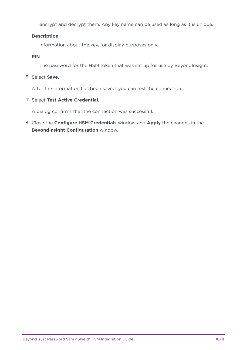encrypt and decrypt them. Any key name can be used as long as it is unique.

### **Description**

Information about the key, for display purposes only.

**PIN**

The password for the HSM token that was set up for use by BeyondInsight.

6. Select **Save**.

After the information has been saved, you can test the connection.

7. Select **Test Active Credential**.

A dialog confirms that the connection was successful.

8. Close the **Configure HSM Credentials** window and **Apply** the changes in the **BeyondInsight Configuration** window.